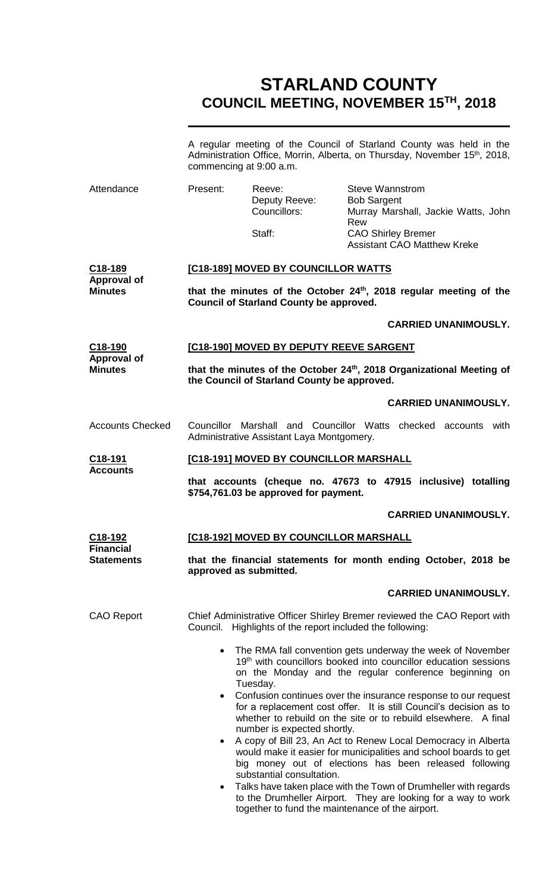# **STARLAND COUNTY COUNCIL MEETING, NOVEMBER 15TH, 2018**

|                                            | A regular meeting of the Council of Starland County was held in the<br>Administration Office, Morrin, Alberta, on Thursday, November 15 <sup>th</sup> , 2018,<br>commencing at 9:00 a.m.                                                                                                                                                                                                                                                                               |                                                           |                                                                                                                                                                                                                                                                                                                                 |  |  |
|--------------------------------------------|------------------------------------------------------------------------------------------------------------------------------------------------------------------------------------------------------------------------------------------------------------------------------------------------------------------------------------------------------------------------------------------------------------------------------------------------------------------------|-----------------------------------------------------------|---------------------------------------------------------------------------------------------------------------------------------------------------------------------------------------------------------------------------------------------------------------------------------------------------------------------------------|--|--|
| Attendance                                 | Present:                                                                                                                                                                                                                                                                                                                                                                                                                                                               | Reeve:<br>Deputy Reeve:<br>Councillors:<br>Staff:         | <b>Steve Wannstrom</b><br><b>Bob Sargent</b><br>Murray Marshall, Jackie Watts, John<br>Rew<br><b>CAO Shirley Bremer</b>                                                                                                                                                                                                         |  |  |
|                                            |                                                                                                                                                                                                                                                                                                                                                                                                                                                                        |                                                           | <b>Assistant CAO Matthew Kreke</b>                                                                                                                                                                                                                                                                                              |  |  |
| C <sub>18</sub> -189<br><b>Approval of</b> | [C18-189] MOVED BY COUNCILLOR WATTS                                                                                                                                                                                                                                                                                                                                                                                                                                    |                                                           |                                                                                                                                                                                                                                                                                                                                 |  |  |
| <b>Minutes</b>                             | that the minutes of the October 24 <sup>th</sup> , 2018 regular meeting of the<br><b>Council of Starland County be approved.</b>                                                                                                                                                                                                                                                                                                                                       |                                                           |                                                                                                                                                                                                                                                                                                                                 |  |  |
|                                            |                                                                                                                                                                                                                                                                                                                                                                                                                                                                        |                                                           | <b>CARRIED UNANIMOUSLY.</b>                                                                                                                                                                                                                                                                                                     |  |  |
| C <sub>18</sub> -190<br><b>Approval of</b> | [C18-190] MOVED BY DEPUTY REEVE SARGENT                                                                                                                                                                                                                                                                                                                                                                                                                                |                                                           |                                                                                                                                                                                                                                                                                                                                 |  |  |
| <b>Minutes</b>                             | that the minutes of the October 24th, 2018 Organizational Meeting of<br>the Council of Starland County be approved.                                                                                                                                                                                                                                                                                                                                                    |                                                           |                                                                                                                                                                                                                                                                                                                                 |  |  |
|                                            |                                                                                                                                                                                                                                                                                                                                                                                                                                                                        |                                                           | <b>CARRIED UNANIMOUSLY.</b>                                                                                                                                                                                                                                                                                                     |  |  |
| <b>Accounts Checked</b>                    | Councillor Marshall and Councillor Watts checked accounts with<br>Administrative Assistant Laya Montgomery.                                                                                                                                                                                                                                                                                                                                                            |                                                           |                                                                                                                                                                                                                                                                                                                                 |  |  |
| C <sub>18</sub> -191                       | [C18-191] MOVED BY COUNCILLOR MARSHALL                                                                                                                                                                                                                                                                                                                                                                                                                                 |                                                           |                                                                                                                                                                                                                                                                                                                                 |  |  |
| <b>Accounts</b>                            | that accounts (cheque no. 47673 to 47915 inclusive) totalling<br>\$754,761.03 be approved for payment.                                                                                                                                                                                                                                                                                                                                                                 |                                                           |                                                                                                                                                                                                                                                                                                                                 |  |  |
|                                            |                                                                                                                                                                                                                                                                                                                                                                                                                                                                        |                                                           | <b>CARRIED UNANIMOUSLY.</b>                                                                                                                                                                                                                                                                                                     |  |  |
| C <sub>18-192</sub>                        | [C18-192] MOVED BY COUNCILLOR MARSHALL                                                                                                                                                                                                                                                                                                                                                                                                                                 |                                                           |                                                                                                                                                                                                                                                                                                                                 |  |  |
| <b>Financial</b><br><b>Statements</b>      | that the financial statements for month ending October, 2018 be<br>approved as submitted.                                                                                                                                                                                                                                                                                                                                                                              |                                                           |                                                                                                                                                                                                                                                                                                                                 |  |  |
|                                            |                                                                                                                                                                                                                                                                                                                                                                                                                                                                        |                                                           | <b>CARRIED UNANIMOUSLY.</b>                                                                                                                                                                                                                                                                                                     |  |  |
| <b>CAO Report</b>                          |                                                                                                                                                                                                                                                                                                                                                                                                                                                                        | Council. Highlights of the report included the following: | Chief Administrative Officer Shirley Bremer reviewed the CAO Report with                                                                                                                                                                                                                                                        |  |  |
|                                            | The RMA fall convention gets underway the week of November<br>$\bullet$<br>19th with councillors booked into councillor education sessions<br>on the Monday and the regular conference beginning on<br>Tuesday.<br>Confusion continues over the insurance response to our request<br>$\bullet$<br>for a replacement cost offer. It is still Council's decision as to<br>whether to rebuild on the site or to rebuild elsewhere. A final<br>number is expected shortly. |                                                           |                                                                                                                                                                                                                                                                                                                                 |  |  |
|                                            | $\bullet$<br>$\bullet$                                                                                                                                                                                                                                                                                                                                                                                                                                                 | substantial consultation.                                 | A copy of Bill 23, An Act to Renew Local Democracy in Alberta<br>would make it easier for municipalities and school boards to get<br>big money out of elections has been released following<br>Talks have taken place with the Town of Drumheller with regards<br>to the Drumheller Airport. They are looking for a way to work |  |  |

together to fund the maintenance of the airport.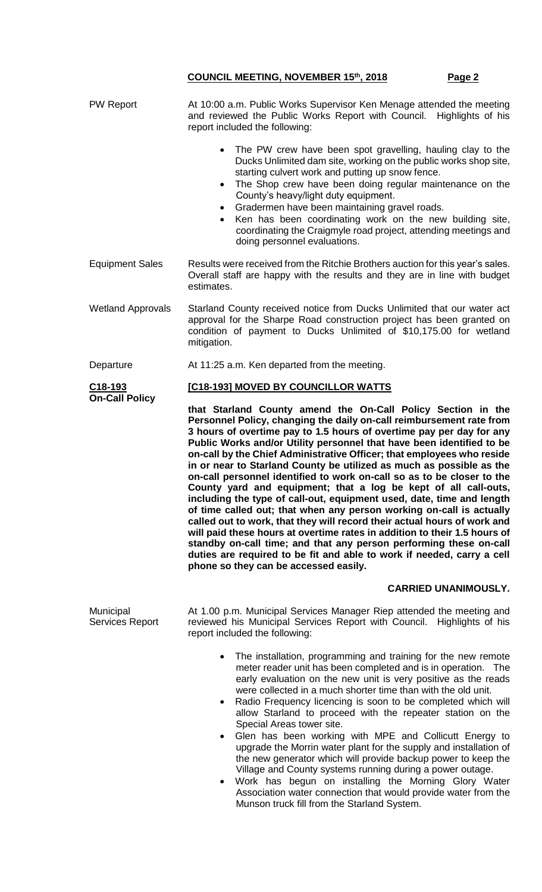| <b>PW Report</b>                             | At 10:00 a.m. Public Works Supervisor Ken Menage attended the meeting<br>and reviewed the Public Works Report with Council. Highlights of his<br>report included the following:                                                                                                                                                                                                                                                                                                                                                                                                                                                                                                                                                                                                                                                                                                                                                                 |
|----------------------------------------------|-------------------------------------------------------------------------------------------------------------------------------------------------------------------------------------------------------------------------------------------------------------------------------------------------------------------------------------------------------------------------------------------------------------------------------------------------------------------------------------------------------------------------------------------------------------------------------------------------------------------------------------------------------------------------------------------------------------------------------------------------------------------------------------------------------------------------------------------------------------------------------------------------------------------------------------------------|
|                                              | The PW crew have been spot gravelling, hauling clay to the<br>$\bullet$<br>Ducks Unlimited dam site, working on the public works shop site,<br>starting culvert work and putting up snow fence.<br>The Shop crew have been doing regular maintenance on the<br>County's heavy/light duty equipment.<br>Gradermen have been maintaining gravel roads.<br>$\bullet$<br>Ken has been coordinating work on the new building site,<br>coordinating the Craigmyle road project, attending meetings and<br>doing personnel evaluations.                                                                                                                                                                                                                                                                                                                                                                                                                |
| <b>Equipment Sales</b>                       | Results were received from the Ritchie Brothers auction for this year's sales.<br>Overall staff are happy with the results and they are in line with budget<br>estimates.                                                                                                                                                                                                                                                                                                                                                                                                                                                                                                                                                                                                                                                                                                                                                                       |
| <b>Wetland Approvals</b>                     | Starland County received notice from Ducks Unlimited that our water act<br>approval for the Sharpe Road construction project has been granted on<br>condition of payment to Ducks Unlimited of \$10,175.00 for wetland<br>mitigation.                                                                                                                                                                                                                                                                                                                                                                                                                                                                                                                                                                                                                                                                                                           |
| Departure                                    | At 11:25 a.m. Ken departed from the meeting.                                                                                                                                                                                                                                                                                                                                                                                                                                                                                                                                                                                                                                                                                                                                                                                                                                                                                                    |
| C <sub>18-193</sub><br><b>On-Call Policy</b> | [C18-193] MOVED BY COUNCILLOR WATTS                                                                                                                                                                                                                                                                                                                                                                                                                                                                                                                                                                                                                                                                                                                                                                                                                                                                                                             |
|                                              | that Starland County amend the On-Call Policy Section in the<br>Personnel Policy, changing the daily on-call reimbursement rate from                                                                                                                                                                                                                                                                                                                                                                                                                                                                                                                                                                                                                                                                                                                                                                                                            |
|                                              | 3 hours of overtime pay to 1.5 hours of overtime pay per day for any<br>Public Works and/or Utility personnel that have been identified to be<br>on-call by the Chief Administrative Officer; that employees who reside<br>in or near to Starland County be utilized as much as possible as the<br>on-call personnel identified to work on-call so as to be closer to the<br>County yard and equipment; that a log be kept of all call-outs,<br>including the type of call-out, equipment used, date, time and length<br>of time called out; that when any person working on-call is actually<br>called out to work, that they will record their actual hours of work and<br>will paid these hours at overtime rates in addition to their 1.5 hours of<br>standby on-call time; and that any person performing these on-call<br>duties are required to be fit and able to work if needed, carry a cell<br>phone so they can be accessed easily. |
|                                              | <b>CARRIED UNANIMOUSLY.</b>                                                                                                                                                                                                                                                                                                                                                                                                                                                                                                                                                                                                                                                                                                                                                                                                                                                                                                                     |
| Municipal<br>Services Report                 | At 1.00 p.m. Municipal Services Manager Riep attended the meeting and<br>reviewed his Municipal Services Report with Council. Highlights of his<br>report included the following:                                                                                                                                                                                                                                                                                                                                                                                                                                                                                                                                                                                                                                                                                                                                                               |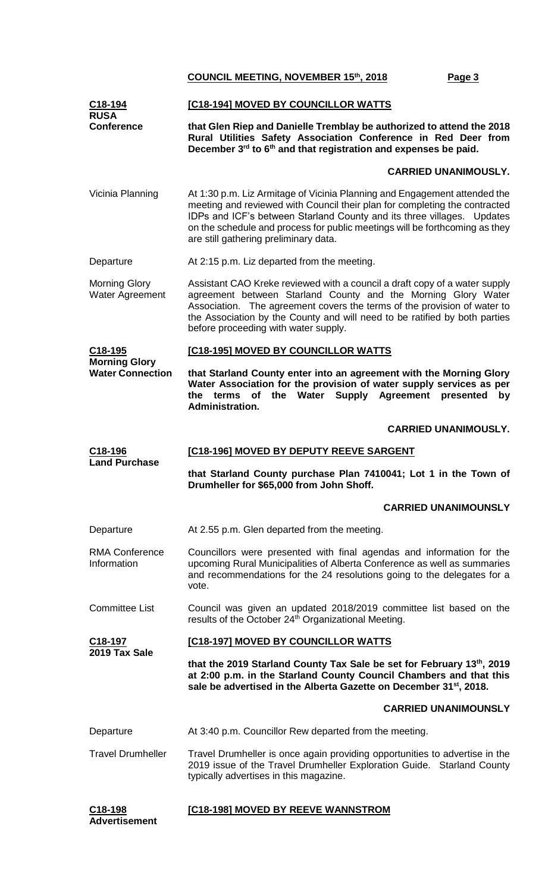| C <sub>18</sub> -194<br><b>RUSA</b>     | [C18-194] MOVED BY COUNCILLOR WATTS                                                                                                                                                                                                                                                                                                                       |  |  |  |
|-----------------------------------------|-----------------------------------------------------------------------------------------------------------------------------------------------------------------------------------------------------------------------------------------------------------------------------------------------------------------------------------------------------------|--|--|--|
| <b>Conference</b>                       | that Glen Riep and Danielle Tremblay be authorized to attend the 2018<br>Rural Utilities Safety Association Conference in Red Deer from<br>December 3 <sup>rd</sup> to 6 <sup>th</sup> and that registration and expenses be paid.                                                                                                                        |  |  |  |
|                                         | <b>CARRIED UNANIMOUSLY.</b>                                                                                                                                                                                                                                                                                                                               |  |  |  |
| Vicinia Planning                        | At 1:30 p.m. Liz Armitage of Vicinia Planning and Engagement attended the<br>meeting and reviewed with Council their plan for completing the contracted<br>IDPs and ICF's between Starland County and its three villages. Updates<br>on the schedule and process for public meetings will be forthcoming as they<br>are still gathering preliminary data. |  |  |  |
| Departure                               | At 2:15 p.m. Liz departed from the meeting.                                                                                                                                                                                                                                                                                                               |  |  |  |
| <b>Morning Glory</b><br>Water Agreement | Assistant CAO Kreke reviewed with a council a draft copy of a water supply<br>agreement between Starland County and the Morning Glory Water<br>Association. The agreement covers the terms of the provision of water to<br>the Association by the County and will need to be ratified by both parties<br>before proceeding with water supply.             |  |  |  |
| C18-195<br><b>Morning Glory</b>         | [C18-195] MOVED BY COUNCILLOR WATTS                                                                                                                                                                                                                                                                                                                       |  |  |  |
| <b>Water Connection</b>                 | that Starland County enter into an agreement with the Morning Glory<br>Water Association for the provision of water supply services as per<br>the Water Supply Agreement presented<br>the terms of<br>by<br>Administration.                                                                                                                               |  |  |  |
|                                         | <b>CARRIED UNANIMOUSLY.</b>                                                                                                                                                                                                                                                                                                                               |  |  |  |
| C18-196                                 | [C18-196] MOVED BY DEPUTY REEVE SARGENT                                                                                                                                                                                                                                                                                                                   |  |  |  |
| <b>Land Purchase</b>                    | that Starland County purchase Plan 7410041; Lot 1 in the Town of<br>Drumheller for \$65,000 from John Shoff.                                                                                                                                                                                                                                              |  |  |  |
|                                         | <b>CARRIED UNANIMOUNSLY</b>                                                                                                                                                                                                                                                                                                                               |  |  |  |
| Departure                               | At 2.55 p.m. Glen departed from the meeting.                                                                                                                                                                                                                                                                                                              |  |  |  |
| <b>RMA Conference</b><br>Information    | Councillors were presented with final agendas and information for the<br>upcoming Rural Municipalities of Alberta Conference as well as summaries<br>and recommendations for the 24 resolutions going to the delegates for a<br>vote.                                                                                                                     |  |  |  |
| <b>Committee List</b>                   | Council was given an updated 2018/2019 committee list based on the<br>results of the October 24 <sup>th</sup> Organizational Meeting.                                                                                                                                                                                                                     |  |  |  |
| C18-197                                 | [C18-197] MOVED BY COUNCILLOR WATTS                                                                                                                                                                                                                                                                                                                       |  |  |  |
| 2019 Tax Sale                           | that the 2019 Starland County Tax Sale be set for February 13th, 2019<br>at 2:00 p.m. in the Starland County Council Chambers and that this<br>sale be advertised in the Alberta Gazette on December 31 <sup>st</sup> , 2018.                                                                                                                             |  |  |  |
|                                         | <b>CARRIED UNANIMOUNSLY</b>                                                                                                                                                                                                                                                                                                                               |  |  |  |
| Departure                               | At 3:40 p.m. Councillor Rew departed from the meeting.                                                                                                                                                                                                                                                                                                    |  |  |  |
| <b>Travel Drumheller</b>                | Travel Drumheller is once again providing opportunities to advertise in the<br>2019 issue of the Travel Drumheller Exploration Guide. Starland County<br>typically advertises in this magazine.                                                                                                                                                           |  |  |  |
| C18-198                                 | [C18-198] MOVED BY REEVE WANNSTROM                                                                                                                                                                                                                                                                                                                        |  |  |  |

**Advertisement**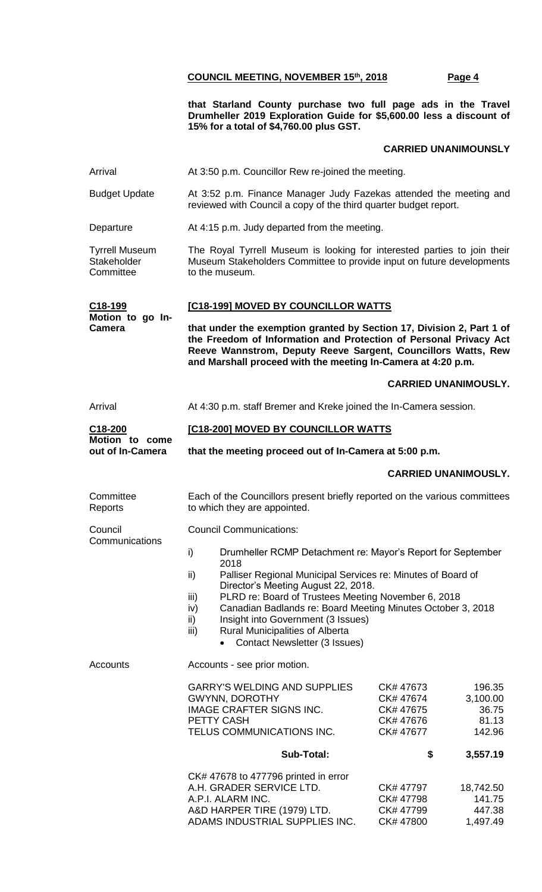**that Starland County purchase two full page ads in the Travel Drumheller 2019 Exploration Guide for \$5,600.00 less a discount of 15% for a total of \$4,760.00 plus GST.**

#### **CARRIED UNANIMOUNSLY**

| Arrival                                           | At 3:50 p.m. Councillor Rew re-joined the meeting.                                                                                                                                                                                                                                                                                                                                                                                                           |                                                                                                                 |  |  |
|---------------------------------------------------|--------------------------------------------------------------------------------------------------------------------------------------------------------------------------------------------------------------------------------------------------------------------------------------------------------------------------------------------------------------------------------------------------------------------------------------------------------------|-----------------------------------------------------------------------------------------------------------------|--|--|
| <b>Budget Update</b>                              | At 3:52 p.m. Finance Manager Judy Fazekas attended the meeting and<br>reviewed with Council a copy of the third quarter budget report.                                                                                                                                                                                                                                                                                                                       |                                                                                                                 |  |  |
| Departure                                         | At 4:15 p.m. Judy departed from the meeting.                                                                                                                                                                                                                                                                                                                                                                                                                 |                                                                                                                 |  |  |
| <b>Tyrrell Museum</b><br>Stakeholder<br>Committee | The Royal Tyrrell Museum is looking for interested parties to join their<br>Museum Stakeholders Committee to provide input on future developments<br>to the museum.                                                                                                                                                                                                                                                                                          |                                                                                                                 |  |  |
| C18-199                                           | [C18-199] MOVED BY COUNCILLOR WATTS                                                                                                                                                                                                                                                                                                                                                                                                                          |                                                                                                                 |  |  |
| Motion to go In-<br><b>Camera</b>                 | that under the exemption granted by Section 17, Division 2, Part 1 of<br>the Freedom of Information and Protection of Personal Privacy Act<br>Reeve Wannstrom, Deputy Reeve Sargent, Councillors Watts, Rew<br>and Marshall proceed with the meeting In-Camera at 4:20 p.m.                                                                                                                                                                                  |                                                                                                                 |  |  |
|                                                   |                                                                                                                                                                                                                                                                                                                                                                                                                                                              | <b>CARRIED UNANIMOUSLY.</b>                                                                                     |  |  |
| Arrival                                           | At 4:30 p.m. staff Bremer and Kreke joined the In-Camera session.                                                                                                                                                                                                                                                                                                                                                                                            |                                                                                                                 |  |  |
| C18-200<br>Motion to come                         | [C18-200] MOVED BY COUNCILLOR WATTS                                                                                                                                                                                                                                                                                                                                                                                                                          |                                                                                                                 |  |  |
| out of In-Camera                                  | that the meeting proceed out of In-Camera at 5:00 p.m.                                                                                                                                                                                                                                                                                                                                                                                                       |                                                                                                                 |  |  |
|                                                   |                                                                                                                                                                                                                                                                                                                                                                                                                                                              | <b>CARRIED UNANIMOUSLY.</b>                                                                                     |  |  |
| Committee<br>Reports                              | Each of the Councillors present briefly reported on the various committees<br>to which they are appointed.                                                                                                                                                                                                                                                                                                                                                   |                                                                                                                 |  |  |
| Council                                           | <b>Council Communications:</b>                                                                                                                                                                                                                                                                                                                                                                                                                               |                                                                                                                 |  |  |
| Communications                                    | Drumheller RCMP Detachment re: Mayor's Report for September<br>i)<br>2018<br>ii)<br>Palliser Regional Municipal Services re: Minutes of Board of<br>Director's Meeting August 22, 2018.<br>PLRD re: Board of Trustees Meeting November 6, 2018<br>iii)<br>Canadian Badlands re: Board Meeting Minutes October 3, 2018<br>iv)<br>ii)<br>Insight into Government (3 Issues)<br>Rural Municipalities of Alberta<br>iii)<br><b>Contact Newsletter (3 Issues)</b> |                                                                                                                 |  |  |
| Accounts                                          | Accounts - see prior motion.                                                                                                                                                                                                                                                                                                                                                                                                                                 |                                                                                                                 |  |  |
|                                                   | <b>GARRY'S WELDING AND SUPPLIES</b><br><b>GWYNN, DOROTHY</b><br><b>IMAGE CRAFTER SIGNS INC.</b><br>PETTY CASH<br>TELUS COMMUNICATIONS INC.                                                                                                                                                                                                                                                                                                                   | 196.35<br>CK# 47673<br>CK# 47674<br>3,100.00<br>CK# 47675<br>36.75<br>CK# 47676<br>81.13<br>CK# 47677<br>142.96 |  |  |
|                                                   | <b>Sub-Total:</b>                                                                                                                                                                                                                                                                                                                                                                                                                                            | 3,557.19<br>\$                                                                                                  |  |  |
|                                                   | CK# 47678 to 477796 printed in error<br>A.H. GRADER SERVICE LTD.<br>A.P.I. ALARM INC.<br>A&D HARPER TIRE (1979) LTD.<br>ADAMS INDUSTRIAL SUPPLIES INC.                                                                                                                                                                                                                                                                                                       | CK# 47797<br>18,742.50<br>CK# 47798<br>141.75<br>CK# 47799<br>447.38<br>CK# 47800<br>1,497.49                   |  |  |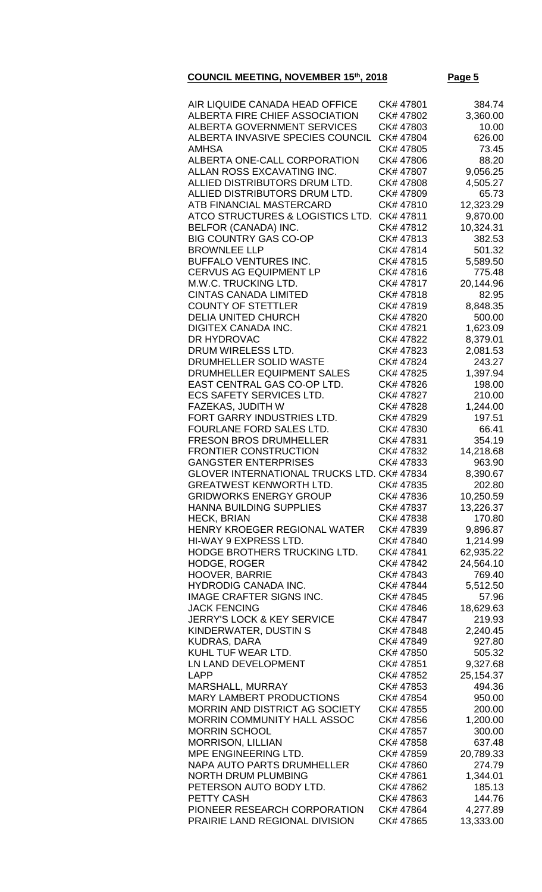| AIR LIQUIDE CANADA HEAD OFFICE                         | CK# 47801              | 384.74              |
|--------------------------------------------------------|------------------------|---------------------|
| ALBERTA FIRE CHIEF ASSOCIATION                         | CK# 47802              | 3,360.00            |
| <b>ALBERTA GOVERNMENT SERVICES</b>                     | CK# 47803              | 10.00               |
| ALBERTA INVASIVE SPECIES COUNCIL                       | CK# 47804              | 626.00              |
| AMHSA                                                  | CK# 47805              | 73.45               |
| ALBERTA ONE-CALL CORPORATION                           | CK# 47806              | 88.20               |
| ALLAN ROSS EXCAVATING INC.                             | CK# 47807              | 9,056.25            |
| ALLIED DISTRIBUTORS DRUM LTD.                          | CK# 47808              | 4,505.27            |
| ALLIED DISTRIBUTORS DRUM LTD.                          | CK# 47809              | 65.73               |
| ATB FINANCIAL MASTERCARD                               | CK# 47810              | 12,323.29           |
| ATCO STRUCTURES & LOGISTICS LTD.                       | CK# 47811              | 9,870.00            |
| BELFOR (CANADA) INC.                                   | CK# 47812              | 10,324.31           |
| <b>BIG COUNTRY GAS CO-OP</b>                           | CK# 47813              | 382.53              |
| <b>BROWNLEE LLP</b>                                    | CK# 47814              | 501.32              |
| <b>BUFFALO VENTURES INC.</b>                           | CK# 47815              | 5,589.50            |
| <b>CERVUS AG EQUIPMENT LP</b>                          | CK# 47816              | 775.48              |
| M.W.C. TRUCKING LTD.                                   | CK# 47817              | 20,144.96           |
| <b>CINTAS CANADA LIMITED</b>                           | CK# 47818              | 82.95               |
| <b>COUNTY OF STETTLER</b>                              | CK# 47819              | 8,848.35            |
| <b>DELIA UNITED CHURCH</b>                             | CK# 47820              | 500.00              |
| <b>DIGITEX CANADA INC.</b>                             | CK# 47821              | 1,623.09            |
| DR HYDROVAC                                            | CK# 47822              | 8,379.01            |
| DRUM WIRELESS LTD.                                     | CK# 47823              | 2,081.53            |
| DRUMHELLER SOLID WASTE                                 | CK# 47824              | 243.27              |
| DRUMHELLER EQUIPMENT SALES                             | CK# 47825              | 1,397.94            |
| EAST CENTRAL GAS CO-OP LTD.                            | CK# 47826              | 198.00              |
| <b>ECS SAFETY SERVICES LTD.</b>                        | CK# 47827              | 210.00              |
| FAZEKAS, JUDITH W                                      | CK# 47828              | 1,244.00            |
| FORT GARRY INDUSTRIES LTD.<br>FOURLANE FORD SALES LTD. | CK# 47829<br>CK# 47830 | 197.51<br>66.41     |
| <b>FRESON BROS DRUMHELLER</b>                          | CK# 47831              | 354.19              |
| <b>FRONTIER CONSTRUCTION</b>                           | CK# 47832              | 14,218.68           |
| <b>GANGSTER ENTERPRISES</b>                            | CK#47833               | 963.90              |
| <b>GLOVER INTERNATIONAL TRUCKS LTD. CK# 47834</b>      |                        | 8,390.67            |
| <b>GREATWEST KENWORTH LTD.</b>                         | CK# 47835              | 202.80              |
| <b>GRIDWORKS ENERGY GROUP</b>                          | CK# 47836              | 10,250.59           |
| <b>HANNA BUILDING SUPPLIES</b>                         | CK# 47837              | 13,226.37           |
| <b>HECK, BRIAN</b>                                     | CK# 47838              | 170.80              |
| HENRY KROEGER REGIONAL WATER                           | CK# 47839              | 9,896.87            |
| HI-WAY 9 EXPRESS LTD.                                  | CK# 47840              | 1,214.99            |
| HODGE BROTHERS TRUCKING LTD.                           | CK# 47841              | 62,935.22           |
| <b>HODGE, ROGER</b>                                    | CK# 47842              | 24,564.10           |
| <b>HOOVER, BARRIE</b>                                  | CK# 47843              | 769.40              |
| HYDRODIG CANADA INC.                                   | CK# 47844              | 5,512.50            |
| <b>IMAGE CRAFTER SIGNS INC.</b>                        | CK# 47845              | 57.96               |
| <b>JACK FENCING</b>                                    | CK# 47846              | 18,629.63           |
| <b>JERRY'S LOCK &amp; KEY SERVICE</b>                  | CK# 47847              | 219.93              |
| KINDERWATER, DUSTIN S                                  | CK# 47848              | 2,240.45            |
| <b>KUDRAS, DARA</b>                                    | CK# 47849              | 927.80              |
| KUHL TUF WEAR LTD.                                     | CK# 47850              | 505.32              |
| LN LAND DEVELOPMENT                                    | CK# 47851              | 9,327.68            |
| LAPP                                                   | CK# 47852              | 25,154.37           |
| MARSHALL, MURRAY                                       | CK# 47853              | 494.36              |
| <b>MARY LAMBERT PRODUCTIONS</b>                        | CK# 47854              | 950.00              |
| <b>MORRIN AND DISTRICT AG SOCIETY</b>                  | CK# 47855              | 200.00              |
| <b>MORRIN COMMUNITY HALL ASSOC</b>                     | CK# 47856              | 1,200.00            |
| <b>MORRIN SCHOOL</b>                                   | CK# 47857              | 300.00              |
| <b>MORRISON, LILLIAN</b><br>MPE ENGINEERING LTD.       | CK# 47858<br>CK# 47859 | 637.48              |
| NAPA AUTO PARTS DRUMHELLER                             | CK# 47860              | 20,789.33<br>274.79 |
| <b>NORTH DRUM PLUMBING</b>                             | CK# 47861              | 1,344.01            |
| PETERSON AUTO BODY LTD.                                | CK# 47862              | 185.13              |
| PETTY CASH                                             | CK# 47863              | 144.76              |
| PIONEER RESEARCH CORPORATION                           | CK# 47864              | 4,277.89            |
| PRAIRIE LAND REGIONAL DIVISION                         | CK# 47865              | 13,333.00           |
|                                                        |                        |                     |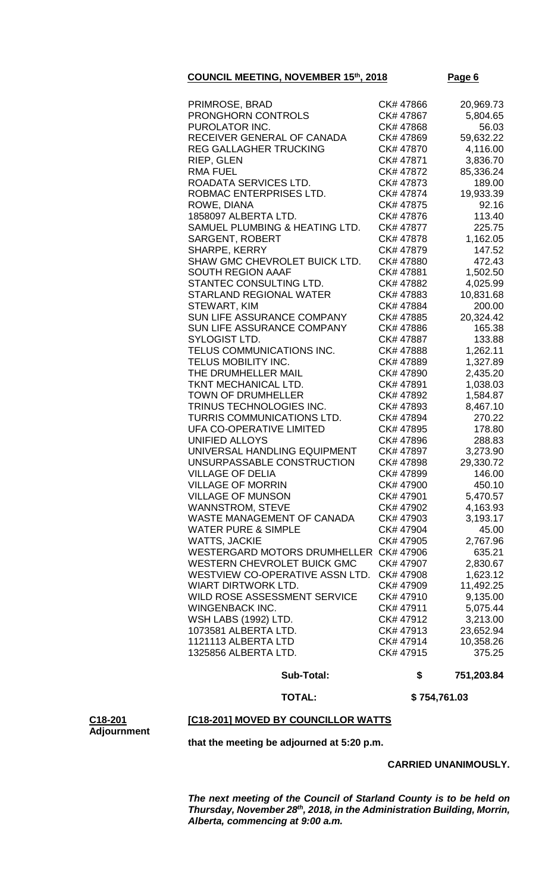| PRIMROSE, BRAD                      | CK# 47866 | 20,969.73 |
|-------------------------------------|-----------|-----------|
| PRONGHORN CONTROLS                  | CK# 47867 | 5,804.65  |
| PUROLATOR INC.                      | CK# 47868 | 56.03     |
| RECEIVER GENERAL OF CANADA          | CK# 47869 | 59,632.22 |
| <b>REG GALLAGHER TRUCKING</b>       | CK# 47870 | 4,116.00  |
| RIEP, GLEN                          | CK# 47871 | 3,836.70  |
| <b>RMA FUEL</b>                     | CK# 47872 | 85,336.24 |
| ROADATA SERVICES LTD.               | CK# 47873 | 189.00    |
| ROBMAC ENTERPRISES LTD.             | CK# 47874 | 19,933.39 |
| ROWE, DIANA                         | CK# 47875 | 92.16     |
| 1858097 ALBERTA LTD.                | CK# 47876 | 113.40    |
| SAMUEL PLUMBING & HEATING LTD.      | CK# 47877 | 225.75    |
|                                     |           |           |
| <b>SARGENT, ROBERT</b>              | CK# 47878 | 1,162.05  |
| SHARPE, KERRY                       | CK# 47879 | 147.52    |
| SHAW GMC CHEVROLET BUICK LTD.       | CK# 47880 | 472.43    |
| <b>SOUTH REGION AAAF</b>            | CK# 47881 | 1,502.50  |
| STANTEC CONSULTING LTD.             | CK# 47882 | 4,025.99  |
| STARLAND REGIONAL WATER             | CK# 47883 | 10,831.68 |
| STEWART, KIM                        | CK# 47884 | 200.00    |
| <b>SUN LIFE ASSURANCE COMPANY</b>   | CK# 47885 | 20,324.42 |
| SUN LIFE ASSURANCE COMPANY          | CK# 47886 | 165.38    |
| SYLOGIST LTD.                       | CK# 47887 | 133.88    |
| TELUS COMMUNICATIONS INC.           | CK# 47888 | 1,262.11  |
| TELUS MOBILITY INC.                 | CK# 47889 | 1,327.89  |
| THE DRUMHELLER MAIL                 | CK# 47890 | 2,435.20  |
| TKNT MECHANICAL LTD.                | CK# 47891 | 1,038.03  |
| <b>TOWN OF DRUMHELLER</b>           | CK# 47892 | 1,584.87  |
| TRINUS TECHNOLOGIES INC.            | CK# 47893 | 8,467.10  |
| TURRIS COMMUNICATIONS LTD.          | CK# 47894 | 270.22    |
| <b>UFA CO-OPERATIVE LIMITED</b>     | CK# 47895 |           |
|                                     |           | 178.80    |
| <b>UNIFIED ALLOYS</b>               | CK# 47896 | 288.83    |
| UNIVERSAL HANDLING EQUIPMENT        | CK# 47897 | 3,273.90  |
| UNSURPASSABLE CONSTRUCTION          | CK# 47898 | 29,330.72 |
| <b>VILLAGE OF DELIA</b>             | CK# 47899 | 146.00    |
| <b>VILLAGE OF MORRIN</b>            | CK# 47900 | 450.10    |
| <b>VILLAGE OF MUNSON</b>            | CK# 47901 | 5,470.57  |
| <b>WANNSTROM, STEVE</b>             | CK# 47902 | 4,163.93  |
| WASTE MANAGEMENT OF CANADA          | CK# 47903 | 3,193.17  |
| <b>WATER PURE &amp; SIMPLE</b>      | CK# 47904 | 45.00     |
| <b>WATTS, JACKIE</b>                | CK# 47905 | 2,767.96  |
| <b>WESTERGARD MOTORS DRUMHELLER</b> | CK# 47906 | 635.21    |
| WESTERN CHEVROLET BUICK GMC         | CK# 47907 | 2,830.67  |
| WESTVIEW CO-OPERATIVE ASSN LTD.     | CK# 47908 | 1,623.12  |
| <b>WIART DIRTWORK LTD.</b>          | CK# 47909 | 11,492.25 |
| WILD ROSE ASSESSMENT SERVICE        | CK# 47910 | 9,135.00  |
| WINGENBACK INC.                     | CK# 47911 | 5,075.44  |
|                                     |           |           |
| <b>WSH LABS (1992) LTD.</b>         | CK# 47912 | 3,213.00  |
| 1073581 ALBERTA LTD.                | CK# 47913 | 23,652.94 |
| 1121113 ALBERTA LTD                 | CK# 47914 | 10,358.26 |
| 1325856 ALBERTA LTD.                | CK# 47915 | 375.25    |

 **Sub-Total: \$ 751,203.84**

 **TOTAL: \$ 754,761.03**

#### **C18-201 Adjournment [C18-201] MOVED BY COUNCILLOR WATTS**

**that the meeting be adjourned at 5:20 p.m.**

**CARRIED UNANIMOUSLY.**

*The next meeting of the Council of Starland County is to be held on Thursday, November 28th, 2018, in the Administration Building, Morrin, Alberta, commencing at 9:00 a.m.*